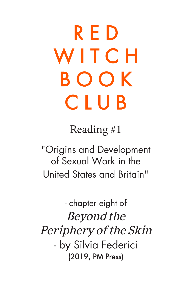# R E D **WITCH** B O O K C L U B

Reading #1

"Origins and Development of Sexual Work in the United States and Britain"

- chapter eight of Beyond the Periphery of the Skin - by Silvia Federici (2019, PM Press)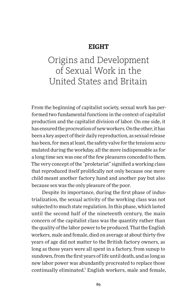### **EIGHT**

## Origins and Development of Sexual Work in the United States and Britain

From the beginning of capitalist society, sexual work has performed two fundamental functions in the context of capitalist production and the capitalist division of labor. On one side, it has ensured the procreation of new workers. On the other, it has been a key aspect of their daily reproduction, as sexual release has been, for men at least, the safety valve for the tensions accumulated during the workday, all the more indispensable as for a long time sex was one of the few pleasures conceded to them. The very concept of the "proletariat" signified a working class that reproduced itself prolifically not only because one more child meant another factory hand and another pay but also because sex was the only pleasure of the poor.

Despite its importance, during the first phase of industrialization, the sexual activity of the working class was not subjected to much state regulation. In this phase, which lasted until the second half of the nineteenth century, the main concern of the capitalist class was the quantity rather than the quality of the labor power to be produced. That the English workers, male and female, died on average at about thirty-five years of age did not matter to the British factory owners, as long as those years were all spent in a factory, from sunup to sundown, from the first years of life until death, and as long as new labor power was abundantly procreated to replace those continually eliminated.1 English workers, male and female,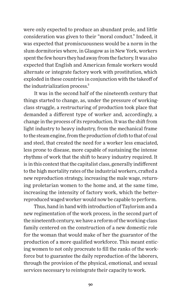were only expected to produce an abundant prole, and little consideration was given to their "moral conduct." Indeed, it was expected that promiscuousness would be a norm in the slum dormitories where, in Glasgow as in New York, workers spent the few hours they had away from the factory. It was also expected that English and American female workers would alternate or integrate factory work with prostitution, which exploded in these countries in conjunction with the takeoff of the industrialization process.<sup>2</sup>

It was in the second half of the nineteenth century that things started to change, as, under the pressure of workingclass struggle, a restructuring of production took place that demanded a different type of worker and, accordingly, a change in the process of its reproduction. It was the shift from light industry to heavy industry, from the mechanical frame to the steam engine, from the production of cloth to that of coal and steel, that created the need for a worker less emaciated, less prone to disease, more capable of sustaining the intense rhythms of work that the shift to heavy industry required. It is in this context that the capitalist class, generally indifferent to the high mortality rates of the industrial workers, crafted a new reproduction strategy, increasing the male wage, returning proletarian women to the home and, at the same time, increasing the intensity of factory work, which the betterreproduced waged worker would now be capable to perform.

Thus, hand in hand with introduction of Taylorism and a new regimentation of the work process, in the second part of the nineteenth century, we have a reform of the working-class family centered on the construction of a new domestic role for the woman that would make of her the guarantor of the production of a more qualified workforce. This meant enticing women to not only procreate to fill the ranks of the workforce but to guarantee the daily reproduction of the laborers, through the provision of the physical, emotional, and sexual services necessary to reintegrate their capacity to work.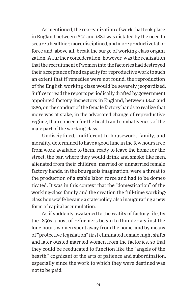As mentioned, the reorganization of work that took place in England between 1850 and 1880 was dictated by the need to secure a healthier, more disciplined, and more productive labor force and, above all, break the surge of working-class organization. A further consideration, however, was the realization that the recruitment of women into the factories had destroyed their acceptance of and capacity for reproductive work to such an extent that if remedies were not found, the reproduction of the English working class would be severely jeopardized. Suffice to read the reports periodically drafted by government appointed factory inspectors in England, between 1840 and 1880, on the conduct of the female factory hands to realize that more was at stake, in the advocated change of reproductive regime, than concern for the health and combativeness of the male part of the working class.

Undisciplined, indifferent to housework, family, and morality, determined to have a good time in the few hours free from work available to them, ready to leave the home for the street, the bar, where they would drink and smoke like men, alienated from their children, married or unmarried female factory hands, in the bourgeois imagination, were a threat to the production of a stable labor force and had to be domesticated. It was in this context that the "domestication" of the working-class family and the creation the full-time workingclass housewife became a state policy, also inaugurating a new form of capital accumulation.

As if suddenly awakened to the reality of factory life, by the 1850s a host of reformers began to thunder against the long hours women spent away from the home, and by means of "protective legislation" first eliminated female night shifts and later ousted married women from the factories, so that they could be reeducated to function like the "angels of the hearth," cognizant of the arts of patience and subordination, especially since the work to which they were destined was not to be paid.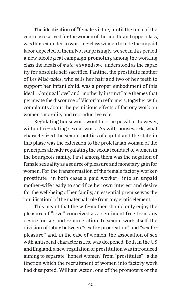The idealization of "female virtue," until the turn of the century reserved for the women of the middle and upper class, was thus extended to working-class women to hide the unpaid labor expected of them. Not surprisingly, we see in this period a new ideological campaign promoting among the working class the ideals of *maternity* and *love*, understood as the capacity for absolute self-sacrifice. Fantine, the prostitute mother of *Les Misérables*, who sells her hair and two of her teeth to support her infant child, was a proper embodiment of this ideal. "Conjugal love" and "motherly instinct" are themes that permeate the discourse of Victorian reformers, together with complaints about the pernicious effects of factory work on women's morality and reproductive role.

Regulating housework would not be possible, however, without regulating sexual work. As with housework, what characterized the sexual politics of capital and the state in this phase was the extension to the proletarian woman of the principles already regulating the sexual conduct of women in the bourgeois family. First among them was the negation of female sexuality as a source of pleasure and monetary gain for women. For the transformation of the female factory-workerprostitute—in both cases a paid worker—into an unpaid mother-wife ready to sacrifice her own interest and desire for the well-being of her family, an essential premise was the "purification" of the maternal role from any erotic element.

This meant that the wife-mother should only enjoy the pleasure of "love," conceived as a sentiment free from any desire for sex and remuneration. In sexual work itself, the division of labor between "sex for procreation" and "sex for pleasure," and, in the case of women, the association of sex with antisocial characteristics, was deepened. Both in the US and England, a new regulation of prostitution was introduced aiming to separate "honest women" from "prostitutes"—a distinction which the recruitment of women into factory work had dissipated. William Acton, one of the promoters of the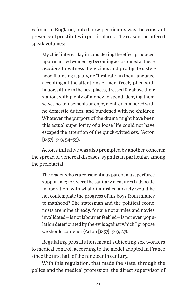reform in England, noted how pernicious was the constant presence of prostitutes in public places. The reasons he offered speak volumes:

My chief interest lay in considering the effect produced upon married women by becoming accustomed at these *réunions* to witness the vicious and profligate sisterhood flaunting it gaily, or "first rate" in their language, accepting all the attentions of men, freely plied with liquor, sitting in the best places, dressed far above their station, with plenty of money to spend, denying themselves no amusements or enjoyment, encumbered with no domestic duties, and burdened with no children. Whatever the purport of the drama might have been, this actual superiority of a loose life could not have escaped the attention of the quick-witted sex. (Acton [1857] 1969, 54–55).

Acton's initiative was also prompted by another concern: the spread of venereal diseases, syphilis in particular, among the proletariat:

The reader who is a conscientious parent must perforce support me; for, were the sanitary measures I advocate in operation, with what diminished anxiety would he not contemplate the progress of his boys from infancy to manhood? The statesman and the political economists are mine already, for are not armies and navies invalidated—is not labour enfeebled—is not even population deteriorated by the evils against which I propose we should contend? (Acton [1857] 1969, 27).

Regulating prostitution meant subjecting sex workers to medical control, according to the model adopted in France since the first half of the nineteenth century.

With this regulation, that made the state, through the police and the medical profession, the direct supervisor of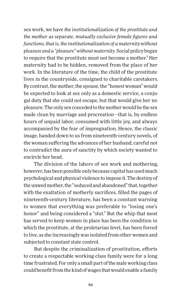sex work, we have *the institutionalization of the prostitute and the mother as separate, mutually exclusive female figures and functions, that is, the institutionalization of a maternity without pleasure and a "pleasure" without maternity.* Social policy began to require that the prostitute must not become a mother.<sup>3</sup> Her maternity had to be hidden, removed from the place of her work. In the literature of the time, the child of the prostitute lives in the countryside, consigned to charitable caretakers. By contrast, the mother, the spouse, the "honest woman" would be expected to look at sex only as a domestic service, a conjugal duty that she could not escape, but that would give her no pleasure. The only sex conceded to the mother would be the sex made clean by marriage and procreation—that is, by endless hours of unpaid labor, consumed with little joy, and always accompanied by the fear of impregnation. Hence, the classic image, handed down to us from nineteenth-century novels, of the woman suffering the advances of her husband, careful not to contradict the aura of sanctity by which society wanted to encircle her head.

The division of the labors of sex work and mothering, however, has been possible only because capital has used much psychological and physical violence to impose it. The destiny of the unwed mother, the "seduced and abandoned" that, together with the exaltation of motherly sacrifices, filled the pages of nineteenth-century literature, has been a constant warning to women that everything was preferable to "losing one's honor" and being considered a "slut." But the whip that most has served to keep women in place has been the condition in which the prostitute, at the proletarian level, has been forced to live, as she increasingly was isolated from other women and subjected to constant state control.

But despite the criminalization of prostitution, efforts to create a respectable working-class family were for a long time frustrated. For only a small part of the male working class could benefit from the kind of wages that would enable a family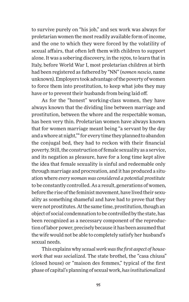to survive purely on "his job," and sex work was always for proletarian women the most readily available form of income, and the one to which they were forced by the volatility of sexual affairs, that often left them with children to support alone. It was a sobering discovery, in the 1970s, to learn that in Italy, before World War I, most proletarian children at birth had been registered as fathered by "NN" (*nomen nescio*, name unknown). Employers took advantage of the poverty of women to force them into prostitution, to keep what jobs they may have or to prevent their husbands from being laid off.

As for the "honest" working-class women, they have always known that the dividing line between marriage and prostitution, between the whore and the respectable woman, has been very thin. Proletarian women have always known that for women marriage meant being "a servant by the day and a whore at night,"4 for every time they planned to abandon the conjugal bed, they had to reckon with their financial poverty. Still, the construction of female sexuality as a service, and its negation as pleasure, have for a long time kept alive the idea that female sexuality is sinful and redeemable only through marriage and procreation, and it has produced a situation where *every woman was considered a potential prostitute* to be constantly controlled. As a result, generations of women, before the rise of the feminist movement, have lived their sexuality as something shameful and have had to prove that they were not prostitutes. At the same time, prostitution, though an object of social condemnation to be controlled by the state, has been recognized as a necessary component of the reproduction of labor power, precisely because it has been assumed that the wife would not be able to completely satisfy her husband's sexual needs.

This explains why *sexual work was the first aspect of housework that was socialized.* The state brothel, the "casa chiusa" (closed house) or "maison des femmes," typical of the first phase of capital's planning of sexual work, *has institutionalized*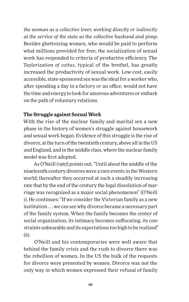*the woman as a collective lover, working directly or indirectly at the service of the state as the collective husband and pimp*. Besides ghettoizing women, who would be paid to perform what millions provided for free, the socialization of sexual work has responded to criteria of productive efficiency. The *Taylorization of coitus*, typical of the brothel, has greatly increased the productivity of sexual work. Low-cost, easily accessible, state-sponsored sex was the ideal for a worker who, after spending a day in a factory or an office, would not have the time and energy to look for amorous adventures or embark on the path of voluntary relations.

#### **The Struggle against Sexual Work**

With the rise of the nuclear family and marital sex a new phase in the history of women's struggle against housework and sexual work began. Evidence of this struggle is the rise of divorce, at the turn of the twentieth century, above all in the US and England, and in the middle class, where the nuclear family model was first adopted.

As O'Neill (1967) points out, "Until about the middle of the nineteenth century divorces were a rare events in the Western world; thereafter they occurred at such a steadily increasing rate that by the end of the century the legal dissolution of marriage was recognized as a major social phenomenon" (O'Neill 1). He continues: "If we consider the Victorian family as a new institution . . . we can see why divorce became a necessary part of the family system. When the family becomes the center of social organization, its intimacy becomes suffocating, its constraints unbearable and its expectations too high to be realized" (6).

O'Neill and his contemporaries were well aware that behind the family crisis and the rush to divorce there was the rebellion of women. In the US the bulk of the requests for divorce were presented by women. Divorce was not the only way in which women expressed their refusal of family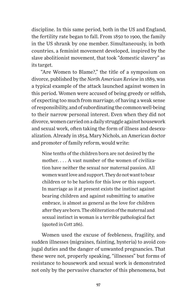discipline. In this same period, both in the US and England, the fertility rate began to fall. From 1850 to 1900, the family in the US shrank by one member. Simultaneously, in both countries, a feminist movement developed, inspired by the slave abolitionist movement, that took "domestic slavery" as its target.

"Are Women to Blame?," the title of a symposium on divorce, published by the *North American Review* in 1889, was a typical example of the attack launched against women in this period. Women were accused of being greedy or selfish, of expecting too much from marriage, of having a weak sense of responsibility, and of subordinating the common well-being to their narrow personal interest. Even when they did not divorce, women carried on a daily struggle against housework and sexual work, often taking the form of illness and desexualization. Already in 1854, Mary Nichols, an American doctor and promoter of family reform, would write:

Nine tenths of the children born are not desired by the mother. . . . A vast number of the women of civilization have neither the sexual nor maternal passion. All women want love and support. They do not want to bear children or to be harlots for this love or this support. In marriage as it at present exists the instinct against bearing children and against submitting to amative embrace, is almost as general as the love for children after they are born. The obliteration of the maternal and sexual instinct in woman is a terrible pathological fact (quoted in Cott 286).

Women used the excuse of feebleness, fragility, and sudden illnesses (migraines, fainting, hysteria) to avoid conjugal duties and the danger of unwanted pregnancies. That these were not, properly speaking, "illnesses" but forms of resistance to housework and sexual work is demonstrated not only by the pervasive character of this phenomena, but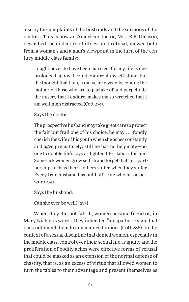also by the complaints of the husbands and the sermons of the doctors. This is how an American doctor, Mrs. R.B. Gleason, described the dialectics of illness and refusal, viewed both from a woman's and a man's viewpoint in the turn-of-the-century middle-class family:

I ought never to have been married, for my life is one prolonged agony. I could endure it myself alone, but the thought that I am, from year to year, becoming the mother of those who are to partake of and perpetuate the misery that I endure, makes me so wretched that I am well-nigh distracted (Cott 274).

Says the doctor:

The prospective husband may take great care to protect the fair but frail one of his choice; he may . . . fondly cherish the wife of his youth when she aches constantly and ages prematurely; still he has no helpmate—no one to double life's joys or lighten life's labors for him. Some sick women grow selfish and forget that, in a partnership such as theirs, others suffer when they suffer. Every true husband has but half a life who has a sick wife (274).

Says the husband:

Can she ever be well? (275)

When they did not fall ill, women became frigid or, in Mary Nichols's words, they inherited "an apathetic state that does not impel them to any material union" (Cott 286). In the context of a sexual discipline that denied women, especially in the middle class, control over their sexual life, frigidity and the proliferation of bodily aches were effective forms of refusal that could be masked as an extension of the normal defense of chastity, that is, as an excess of virtue that allowed women to turn the tables to their advantage and present themselves as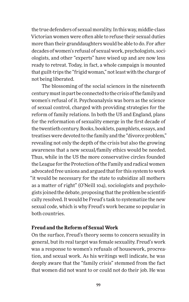the true defenders of sexual morality. In this way, middle-class Victorian women were often able to refuse their sexual duties more than their granddaughters would be able to do. For after decades of women's refusal of sexual work, psychologists, sociologists, and other "experts" have wised up and are now less ready to retreat. Today, in fact, a whole campaign is mounted that guilt-trips the "frigid woman," not least with the charge of not being liberated.

The blossoming of the social sciences in the nineteenth century must in part be connected to the crisis of the family and women's refusal of it. Psychoanalysis was born as the science of sexual control, charged with providing strategies for the reform of family relations. In both the US and England, plans for the reformation of sexuality emerge in the first decade of the twentieth century. Books, booklets, pamphlets, essays, and treatises were devoted to the family and the "divorce problem," revealing not only the depth of the crisis but also the growing awareness that a new sexual/family ethics would be needed. Thus, while in the US the more conservative circles founded the League for the Protection of the Family and radical women advocated free unions and argued that for this system to work "it would be necessary for the state to subsidize all mothers as a matter of right" (O'Neill 104), sociologists and psychologists joined the debate, proposing that the problem be scientifically resolved. It would be Freud's task to systematize the new sexual code, which is why Freud's work became so popular in both countries.

#### **Freud and the Reform of Sexual Work**

On the surface, Freud's theory seems to concern sexuality in general, but its real target was female sexuality. Freud's work was a response to women's refusals of housework, procreation, and sexual work. As his writings well indicate, he was deeply aware that the "family crisis" stemmed from the fact that women did not want to or could not do their job. He was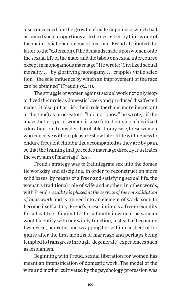also concerned for the growth of male impotence, which had assumed such proportions as to be described by him as one of the main social phenomena of his time. Freud attributed the latter to the "extension of the demands made upon women onto the sexual life of the male, and the taboo on sexual intercourse except in monogamous marriage." He wrote: "Civilized sexual morality . . . by glorifying monogamy . . . cripples virile selection—the sole influence by which an improvement of the race can be obtained" (Freud 1972, 11).

The struggle of women against sexual work not only jeopardized their role as domestic lovers and produced disaffected males; it also put at risk their role (perhaps more important at the time) as procreators. "I do not know," he wrote, "if the anaesthetic type of women is also found outside of civilized education, but I consider it probable. In any case, these women who conceive without pleasure show later little willingness to endure frequent childbirths, accompanied as they are by pain, so that the training that precedes marriage directly frustrates the very aim of marriage" (25).

Freud's strategy was to (re)integrate sex into the domestic workday and discipline, in order to reconstruct on more solid bases, by means of a freer and satisfying sexual life, the woman's traditional role of wife and mother. In other words, with Freud *sexuality is placed at the service of the consolidation of housework* and is turned into an element of work, soon to become itself a duty. Freud's prescription is a freer sexuality for a healthier family life, for a family in which the woman would identify with her wifely function, instead of becoming hysterical, neurotic, and wrapping herself into a sheet of frigidity after the first months of marriage and perhaps being tempted to transgress through "degenerate" experiences such as lesbianism.

Beginning with Freud, sexual liberation for women has meant an intensification of domestic work. The model of the wife and mother cultivated by the psychology profession was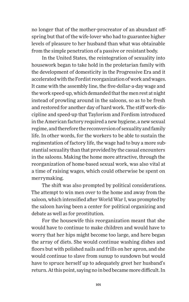no longer that of the mother-procreator of an abundant offspring but that of the wife-lover who had to guarantee higher levels of pleasure to her husband than what was obtainable from the simple penetration of a passive or resistant body.

In the United States, the reintegration of sexuality into housework began to take hold in the proletarian family with the development of domesticity in the Progressive Era and it accelerated with the Fordist reorganization of work and wages. It came with the assembly line, the five-dollar-a-day wage and the work speed-up, which demanded that the men rest at night instead of prowling around in the saloons, so as to be fresh and restored for another day of hard work. The stiff work-discipline and speed-up that Taylorism and Fordism introduced in the American factory required a new hygiene, a new sexual regime, and therefore the reconversion of sexuality and family life. In other words, for the workers to be able to sustain the regimentation of factory life, the wage had to buy a more substantial sexuality than that provided by the casual encounters in the saloons. Making the home more attractive, through the reorganization of home-based sexual work, was also vital at a time of raising wages, which could otherwise be spent on merrymaking.

The shift was also prompted by political considerations. The attempt to win men over to the home and away from the saloon, which intensified after World War I, was prompted by the saloon having been a center for political organizing and debate as well as for prostitution.

For the housewife this reorganization meant that she would have to continue to make children and would have to worry that her hips might become too large, and here began the array of diets. She would continue washing dishes and floors but with polished nails and frills on her apron, and she would continue to slave from sunup to sundown but would have to spruce herself up to adequately greet her husband's return. At this point, saying no in bed became more difficult. In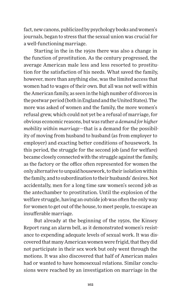fact, new canons, publicized by psychology books and women's journals, began to stress that the sexual union was crucial for a well-functioning marriage.

Starting in the in the 1950s there was also a change in the function of prostitution. As the century progressed, the average American male less and less resorted to prostitution for the satisfaction of his needs. What saved the family, however, more than anything else, was the limited access that women had to wages of their own. But all was not well within the American family, as seen in the high number of divorces in the postwar period (both in England and the United States). The more was asked of women and the family, the more women's refusal grew, which could not yet be a refusal of marriage, for obvious economic reasons, but was rather *a demand for higher mobility within marriage—*that is a demand for the possibility of moving from husband to husband (as from employer to employer) and exacting better conditions of housework. In this period, the struggle for the second job (and for welfare) became closely connected with the struggle against the family, as the factory or the office often represented for women the only alternative to unpaid housework, to their isolation within the family, and to subordination to their husbands' desires. Not accidentally, men for a long time saw women's second job as the antechamber to prostitution. Until the explosion of the welfare struggle, having an outside job was often the only way for women to get out of the house, to meet people, to escape an insufferable marriage.

But already at the beginning of the 1950s, the Kinsey Report rang an alarm bell, as it demonstrated women's resistance to expending adequate levels of sexual work. It was discovered that many American women were frigid, that they did not participate in their sex work but only went through the motions. It was also discovered that half of American males had or wanted to have homosexual relations. Similar conclusions were reached by an investigation on marriage in the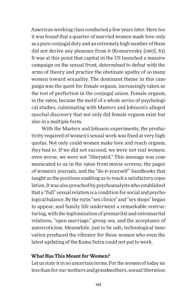American working class conducted a few years later. Here too it was found that a quarter of married women made love only as a pure conjugal duty and an extremely high number of them did not derive any pleasure from it (Komarovsky [1967], 83). It was at this point that capital in the US launched a massive campaign on the sexual front, determined to defeat with the arms of theory and practice the obstinate apathy of so many women toward sexuality. The dominant theme in this campaign was the quest for female orgasm, increasingly taken as the test of perfection in the conjugal union. Female orgasm, in the 1960s, became the motif of a whole series of psychological studies, culminating with Masters and Johnson's alleged epochal discovery that not only did female orgasm exist but also in a multiple form.

With the Masters and Johnson experiments, the productivity required of women's sexual work was fixed at very high quotas. Not only could women make love and reach orgasm, *they had to*. If we did not succeed, we were not real women; even worse, we were not "liberated." This message was communicated to us in the 1960s from movie screens, the pages of women's journals, and the "do-it-yourself" handbooks that taught us the positions enabling us to reach a satisfactory copulation. It was also preached by psychoanalysts who established that a "full" sexual relation is a condition for social and psychological balance. By the 1970s "sex clinics" and "sex shops" began to appear, and family life underwent a remarkable restructuring, with the legitimization of premarital and extramarital relations, "open marriage," group sex, and the acceptance of autoeroticism. Meanwhile, just to be safe, technological innovation produced the vibrator for those women who even the latest updating of the Kama Sutra could not put to work.

#### **What Has This Meant for Women?**

Let us state it in no uncertain terms. For the women of today no less than for our mothers and grandmothers, sexual liberation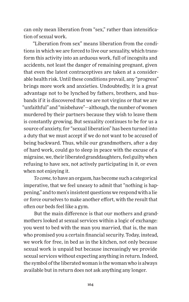can only mean liberation from "sex," rather than intensification of sexual work.

"Liberation from sex" means liberation from the conditions in which we are forced to live our sexuality, which transform this activity into an arduous work, full of incognita and accidents, not least the danger of remaining pregnant, given that even the latest contraceptives are taken at a considerable health risk. Until these conditions prevail, any "progress" brings more work and anxieties. Undoubtedly, it is a great advantage not to be lynched by fathers, brothers, and husbands if it is discovered that we are not virgins or that we are "unfaithful" and "misbehave"—although, the number of women murdered by their partners because they wish to leave them is constantly growing. But sexuality continues to be for us a source of anxiety, for "sexual liberation" has been turned into a duty that we must accept if we do not want to be accused of being backward. Thus, while our grandmothers, after a day of hard work, could go to sleep in peace with the excuse of a migraine, we, their liberated granddaughters, feel guilty when refusing to have sex, not actively participating in it, or even when not enjoying it.

*To come,* to have an orgasm, has become such a categorical imperative, that we feel uneasy to admit that "nothing is happening," and to men's insistent questions we respond with a lie or force ourselves to make another effort, with the result that often our beds feel like a gym.

But the main difference is that our mothers and grandmothers looked at sexual services within a logic of exchange: you went to bed with the man you married, that is, the man who promised you a certain financial security. Today, instead, we work for free, in bed as in the kitchen, not only because sexual work is unpaid but because increasingly we provide sexual services without expecting anything in return. Indeed, the symbol of the liberated woman is the woman who is always available but in return does not ask anything any longer.